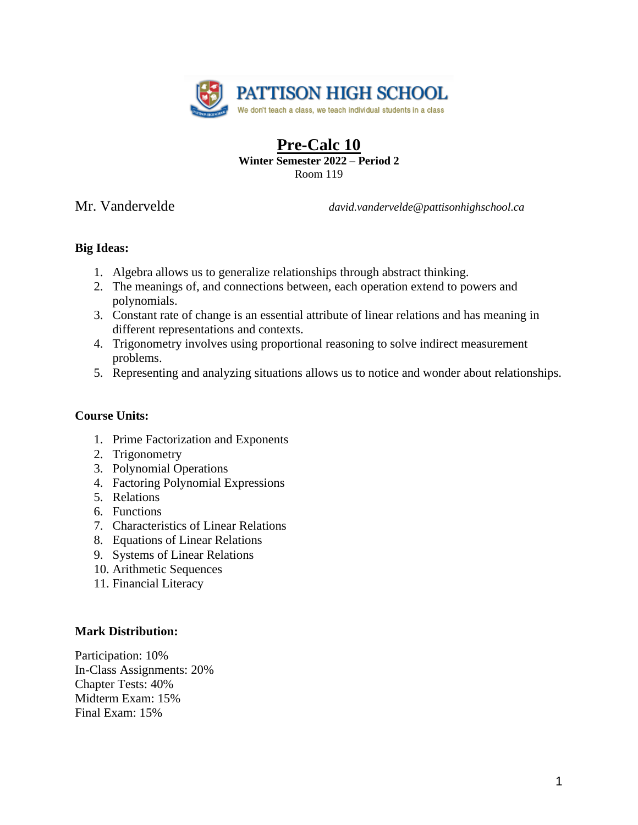

## **Pre-Calc 10 Winter Semester 2022 – Period 2** Room 119

Mr. Vandervelde *david.vandervelde@pattisonhighschool.ca*

## **Big Ideas:**

- 1. Algebra allows us to generalize relationships through abstract thinking.
- 2. The meanings of, and connections between, each operation extend to powers and polynomials.
- 3. Constant rate of change is an essential attribute of linear relations and has meaning in different representations and contexts.
- 4. Trigonometry involves using proportional reasoning to solve indirect measurement problems.
- 5. Representing and analyzing situations allows us to notice and wonder about relationships.

# **Course Units:**

- 1. Prime Factorization and Exponents
- 2. Trigonometry
- 3. Polynomial Operations
- 4. Factoring Polynomial Expressions
- 5. Relations
- 6. Functions
- 7. Characteristics of Linear Relations
- 8. Equations of Linear Relations
- 9. Systems of Linear Relations
- 10. Arithmetic Sequences
- 11. Financial Literacy

## **Mark Distribution:**

Participation: 10% In-Class Assignments: 20% Chapter Tests: 40% Midterm Exam: 15% Final Exam: 15%